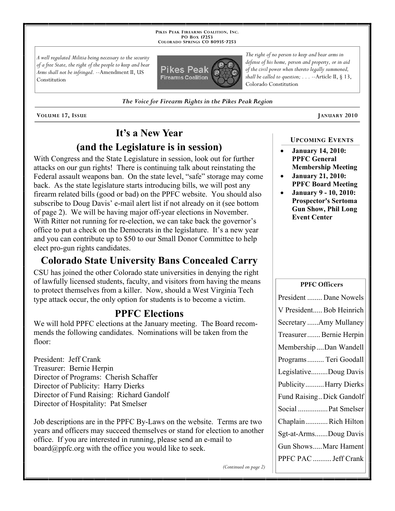**PIKES PEAK FIREARMS COALITION, INC. PO BOX 17253 COLORADO SPRINGS CO 80935 -7253**

*A well regulated Militia being necessary to the security of a free State, the right of the people to keep and bear Arms shall not be infringed.* --Amendment II, US Constitution



*The Voice for Firearm Rights in the Pikes Peak Region*

**VOLUME 17, ISSUE JANUARY 2010**

# **It's a New Year (and the Legislature is in session)**

With Congress and the State Legislature in session, look out for further attacks on our gun rights! There is continuing talk about reinstating the Federal assault weapons ban. On the state level, "safe" storage may come back. As the state legislature starts introducing bills, we will post any firearm related bills (good or bad) on the PPFC website. You should also subscribe to Doug Davis' e-mail alert list if not already on it (see bottom of page 2). We will be having major off-year elections in November. With Ritter not running for re-election, we can take back the governor's office to put a check on the Democrats in the legislature. It's a new year and you can contribute up to \$50 to our Small Donor Committee to help elect pro-gun rights candidates.

### **Colorado State University Bans Concealed Carry**

CSU has joined the other Colorado state universities in denying the right of lawfully licensed students, faculty, and visitors from having the means to protect themselves from a killer. Now, should a West Virginia Tech type attack occur, the only option for students is to become a victim.

### **PPFC Elections**

We will hold PPFC elections at the January meeting. The Board recommends the following candidates. Nominations will be taken from the floor:

President: Jeff Crank Treasurer: Bernie Herpin Director of Programs: Cherish Schaffer Director of Publicity: Harry Dierks Director of Fund Raising: Richard Gandolf Director of Hospitality: Pat Smelser

Job descriptions are in the PPFC By-Laws on the website. Terms are two years and officers may succeed themselves or stand for election to another office. If you are interested in running, please send an e-mail to board@ppfc.org with the office you would like to seek.

*The right of no person to keep and bear arms in defense of his home, person and property, or in aid of the civil power when thereto legally summoned, shall be called to question; . . .* --Article II, § 13, Colorado Constitution

#### **UPCOMING EVENTS**

- **January 14, 2010: PPFC General Membership Meeting**
- **January 21, 2010: PPFC Board Meeting**
- **January 9 10, 2010: Prospector's Sertoma Gun Show, Phil Long Event Center**

#### **PPFC Officers**

| President  Dane Nowels    |
|---------------------------|
| V President Bob Heinrich  |
| Secretary Amy Mullaney    |
| Treasurer Bernie Herpin   |
| Membership Dan Wandell    |
| Programs Teri Goodall     |
| LegislativeDoug Davis     |
| PublicityHarry Dierks     |
| Fund Raising Dick Gandolf |
| Social  Pat Smelser       |
| ChaplainRich Hilton       |
| Sgt-at-ArmsDoug Davis     |
| Gun ShowsMarc Hament      |
| PPFC PAC  Jeff Crank      |

*(Continued on page 2)*